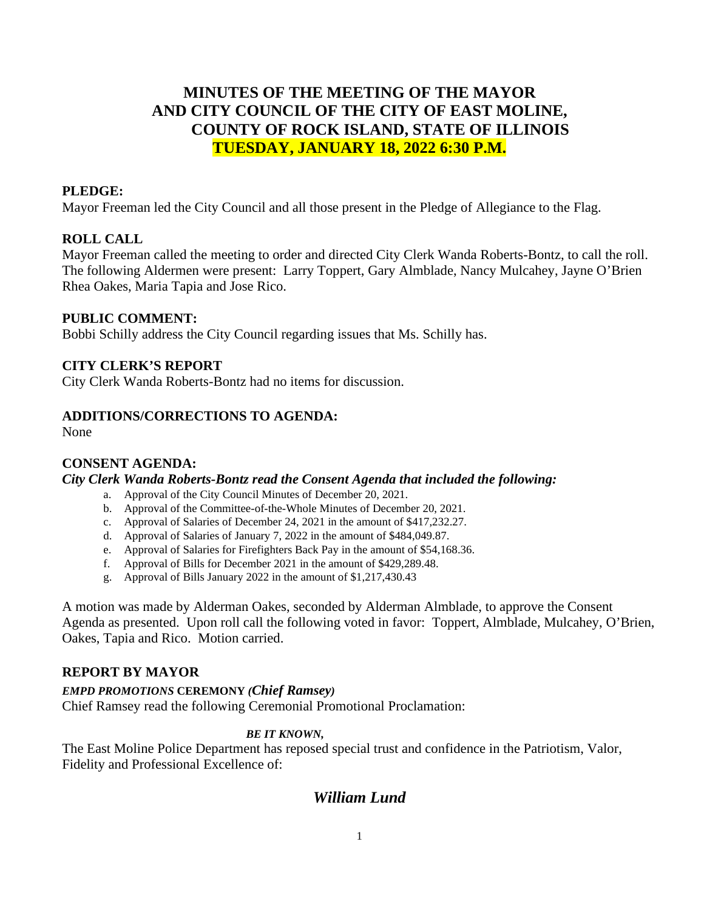# **MINUTES OF THE MEETING OF THE MAYOR AND CITY COUNCIL OF THE CITY OF EAST MOLINE, COUNTY OF ROCK ISLAND, STATE OF ILLINOIS TUESDAY, JANUARY 18, 2022 6:30 P.M.**

# **PLEDGE:**

Mayor Freeman led the City Council and all those present in the Pledge of Allegiance to the Flag.

# **ROLL CALL**

Mayor Freeman called the meeting to order and directed City Clerk Wanda Roberts-Bontz, to call the roll. The following Aldermen were present: Larry Toppert, Gary Almblade, Nancy Mulcahey, Jayne O'Brien Rhea Oakes, Maria Tapia and Jose Rico.

#### **PUBLIC COMMENT:**

Bobbi Schilly address the City Council regarding issues that Ms. Schilly has.

#### **CITY CLERK'S REPORT**

City Clerk Wanda Roberts-Bontz had no items for discussion.

## **ADDITIONS/CORRECTIONS TO AGENDA:**

None

## **CONSENT AGENDA:**

#### *City Clerk Wanda Roberts-Bontz read the Consent Agenda that included the following:*

- a. Approval of the City Council Minutes of December 20, 2021.
- b. Approval of the Committee-of-the-Whole Minutes of December 20, 2021.
- c. Approval of Salaries of December 24, 2021 in the amount of \$417,232.27.
- d. Approval of Salaries of January 7, 2022 in the amount of \$484,049.87.
- e. Approval of Salaries for Firefighters Back Pay in the amount of \$54,168.36.
- f. Approval of Bills for December 2021 in the amount of \$429,289.48.
- g. Approval of Bills January 2022 in the amount of \$1,217,430.43

A motion was made by Alderman Oakes, seconded by Alderman Almblade, to approve the Consent Agenda as presented. Upon roll call the following voted in favor: Toppert, Almblade, Mulcahey, O'Brien, Oakes, Tapia and Rico. Motion carried.

# **REPORT BY MAYOR**

## *EMPD PROMOTIONS* **CEREMONY** *(Chief Ramsey)*

Chief Ramsey read the following Ceremonial Promotional Proclamation:

#### *BE IT KNOWN,*

The East Moline Police Department has reposed special trust and confidence in the Patriotism, Valor, Fidelity and Professional Excellence of:

# *William Lund*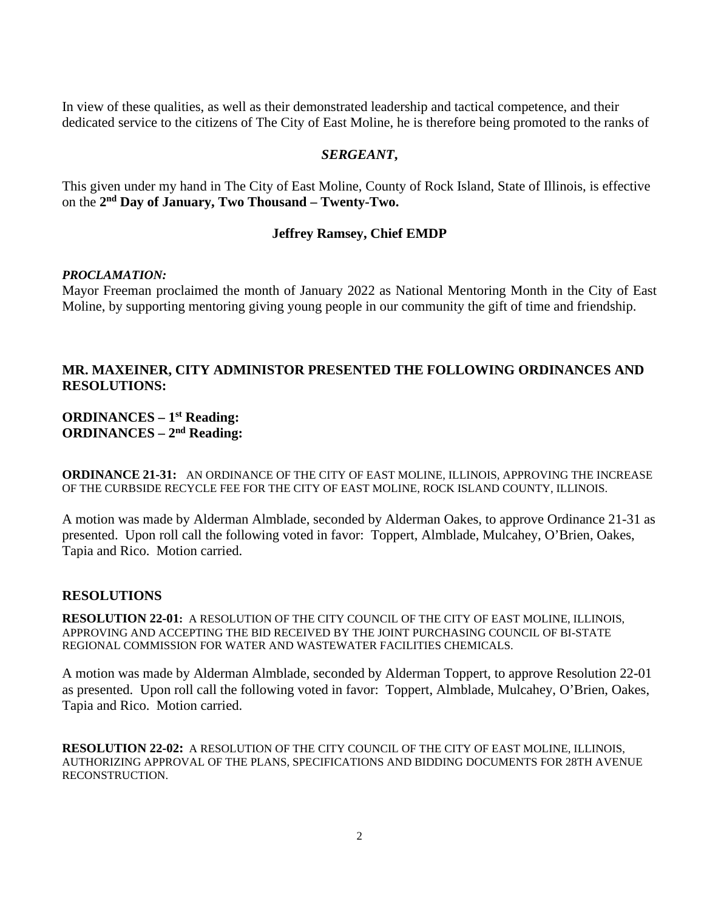In view of these qualities, as well as their demonstrated leadership and tactical competence, and their dedicated service to the citizens of The City of East Moline, he is therefore being promoted to the ranks of

#### *SERGEANT***,**

This given under my hand in The City of East Moline, County of Rock Island, State of Illinois, is effective on the **2nd Day of January, Two Thousand – Twenty-Two.** 

## **Jeffrey Ramsey, Chief EMDP**

#### *PROCLAMATION:*

Mayor Freeman proclaimed the month of January 2022 as National Mentoring Month in the City of East Moline, by supporting mentoring giving young people in our community the gift of time and friendship.

# **MR. MAXEINER, CITY ADMINISTOR PRESENTED THE FOLLOWING ORDINANCES AND RESOLUTIONS:**

# **ORDINANCES – 1st Reading: ORDINANCES – 2nd Reading:**

**ORDINANCE 21-31:** AN ORDINANCE OF THE CITY OF EAST MOLINE, ILLINOIS, APPROVING THE INCREASE OF THE CURBSIDE RECYCLE FEE FOR THE CITY OF EAST MOLINE, ROCK ISLAND COUNTY, ILLINOIS.

A motion was made by Alderman Almblade, seconded by Alderman Oakes, to approve Ordinance 21-31 as presented. Upon roll call the following voted in favor: Toppert, Almblade, Mulcahey, O'Brien, Oakes, Tapia and Rico. Motion carried.

#### **RESOLUTIONS**

**RESOLUTION 22-01:** A RESOLUTION OF THE CITY COUNCIL OF THE CITY OF EAST MOLINE, ILLINOIS, APPROVING AND ACCEPTING THE BID RECEIVED BY THE JOINT PURCHASING COUNCIL OF BI-STATE REGIONAL COMMISSION FOR WATER AND WASTEWATER FACILITIES CHEMICALS.

A motion was made by Alderman Almblade, seconded by Alderman Toppert, to approve Resolution 22-01 as presented. Upon roll call the following voted in favor: Toppert, Almblade, Mulcahey, O'Brien, Oakes, Tapia and Rico. Motion carried.

**RESOLUTION 22-02:** A RESOLUTION OF THE CITY COUNCIL OF THE CITY OF EAST MOLINE, ILLINOIS, AUTHORIZING APPROVAL OF THE PLANS, SPECIFICATIONS AND BIDDING DOCUMENTS FOR 28TH AVENUE RECONSTRUCTION.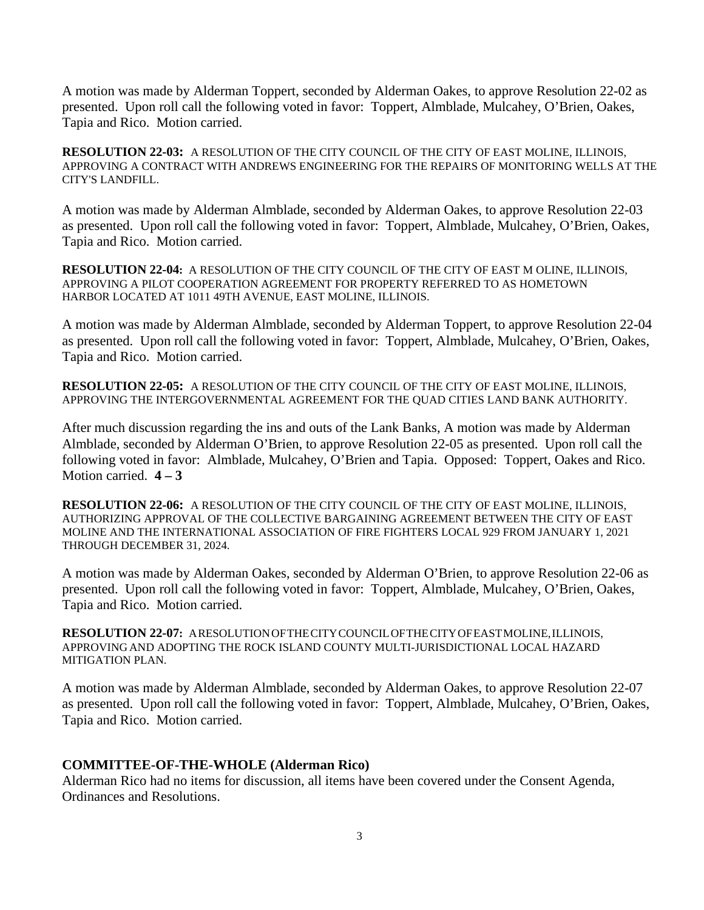A motion was made by Alderman Toppert, seconded by Alderman Oakes, to approve Resolution 22-02 as presented. Upon roll call the following voted in favor: Toppert, Almblade, Mulcahey, O'Brien, Oakes, Tapia and Rico. Motion carried.

**RESOLUTION 22-03:** A RESOLUTION OF THE CITY COUNCIL OF THE CITY OF EAST MOLINE, ILLINOIS, APPROVING A CONTRACT WITH ANDREWS ENGINEERING FOR THE REPAIRS OF MONITORING WELLS AT THE CITY'S LANDFILL.

A motion was made by Alderman Almblade, seconded by Alderman Oakes, to approve Resolution 22-03 as presented. Upon roll call the following voted in favor: Toppert, Almblade, Mulcahey, O'Brien, Oakes, Tapia and Rico. Motion carried.

**RESOLUTION 22-04:** A RESOLUTION OF THE CITY COUNCIL OF THE CITY OF EAST M OLINE, ILLINOIS, APPROVING A PILOT COOPERATION AGREEMENT FOR PROPERTY REFERRED TO AS HOMETOWN HARBOR LOCATED AT 1011 49TH AVENUE, EAST MOLINE, ILLINOIS.

A motion was made by Alderman Almblade, seconded by Alderman Toppert, to approve Resolution 22-04 as presented. Upon roll call the following voted in favor: Toppert, Almblade, Mulcahey, O'Brien, Oakes, Tapia and Rico. Motion carried.

**RESOLUTION 22-05:** A RESOLUTION OF THE CITY COUNCIL OF THE CITY OF EAST MOLINE, ILLINOIS, APPROVING THE INTERGOVERNMENTAL AGREEMENT FOR THE QUAD CITIES LAND BANK AUTHORITY.

After much discussion regarding the ins and outs of the Lank Banks, A motion was made by Alderman Almblade, seconded by Alderman O'Brien, to approve Resolution 22-05 as presented. Upon roll call the following voted in favor: Almblade, Mulcahey, O'Brien and Tapia. Opposed: Toppert, Oakes and Rico. Motion carried. **4 – 3**

**RESOLUTION 22-06:** A RESOLUTION OF THE CITY COUNCIL OF THE CITY OF EAST MOLINE, ILLINOIS, AUTHORIZING APPROVAL OF THE COLLECTIVE BARGAINING AGREEMENT BETWEEN THE CITY OF EAST MOLINE AND THE INTERNATIONAL ASSOCIATION OF FIRE FIGHTERS LOCAL 929 FROM JANUARY 1, 2021 THROUGH DECEMBER 31, 2024.

A motion was made by Alderman Oakes, seconded by Alderman O'Brien, to approve Resolution 22-06 as presented. Upon roll call the following voted in favor: Toppert, Almblade, Mulcahey, O'Brien, Oakes, Tapia and Rico. Motion carried.

**RESOLUTION 22-07:** ARESOLUTIONOFTHECITYCOUNCILOFTHECITYOFEASTMOLINE,ILLINOIS, APPROVING AND ADOPTING THE ROCK ISLAND COUNTY MULTI-JURISDICTIONAL LOCAL HAZARD MITIGATION PLAN.

A motion was made by Alderman Almblade, seconded by Alderman Oakes, to approve Resolution 22-07 as presented. Upon roll call the following voted in favor: Toppert, Almblade, Mulcahey, O'Brien, Oakes, Tapia and Rico. Motion carried.

## **COMMITTEE-OF-THE-WHOLE (Alderman Rico)**

Alderman Rico had no items for discussion, all items have been covered under the Consent Agenda, Ordinances and Resolutions.